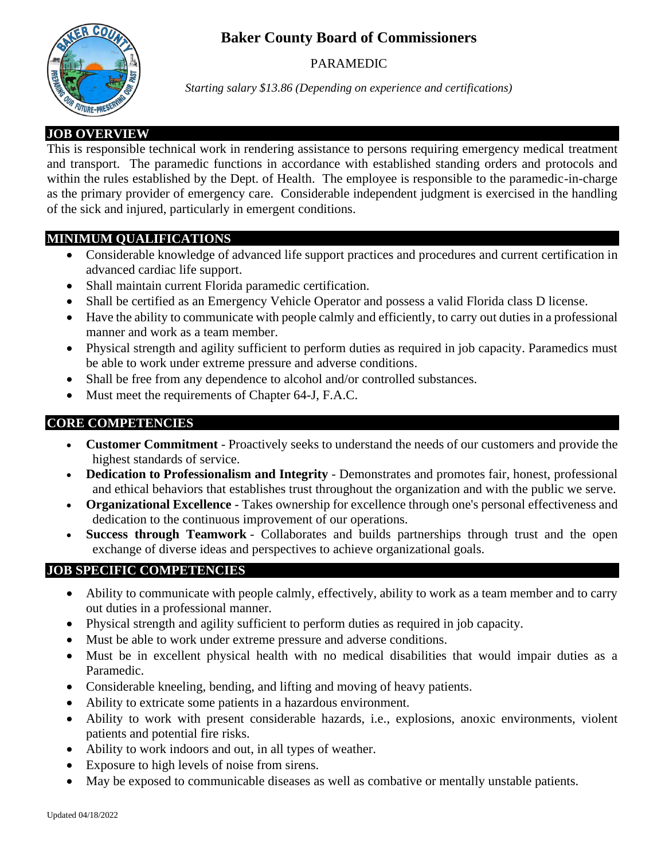# **Baker County Board of Commissioners**



### PARAMEDIC

*Starting salary \$13.86 (Depending on experience and certifications)*

## **JOB OVERVIEW**

This is responsible technical work in rendering assistance to persons requiring emergency medical treatment and transport. The paramedic functions in accordance with established standing orders and protocols and within the rules established by the Dept. of Health. The employee is responsible to the paramedic-in-charge as the primary provider of emergency care. Considerable independent judgment is exercised in the handling of the sick and injured, particularly in emergent conditions.

# **MINIMUM QUALIFICATIONS**

- Considerable knowledge of advanced life support practices and procedures and current certification in advanced cardiac life support.
- Shall maintain current Florida paramedic certification.
- Shall be certified as an Emergency Vehicle Operator and possess a valid Florida class D license.
- Have the ability to communicate with people calmly and efficiently, to carry out duties in a professional manner and work as a team member.
- Physical strength and agility sufficient to perform duties as required in job capacity. Paramedics must be able to work under extreme pressure and adverse conditions.
- Shall be free from any dependence to alcohol and/or controlled substances.
- Must meet the requirements of Chapter 64-J, F.A.C.

## **CORE COMPETENCIES**

- **Customer Commitment** Proactively seeks to understand the needs of our customers and provide the highest standards of service.
- **Dedication to Professionalism and Integrity** Demonstrates and promotes fair, honest, professional and ethical behaviors that establishes trust throughout the organization and with the public we serve.
- **Organizational Excellence** Takes ownership for excellence through one's personal effectiveness and dedication to the continuous improvement of our operations.
- **Success through Teamwork** Collaborates and builds partnerships through trust and the open exchange of diverse ideas and perspectives to achieve organizational goals.

## **JOB SPECIFIC COMPETENCIES**

- Ability to communicate with people calmly, effectively, ability to work as a team member and to carry out duties in a professional manner.
- Physical strength and agility sufficient to perform duties as required in job capacity.
- Must be able to work under extreme pressure and adverse conditions.
- Must be in excellent physical health with no medical disabilities that would impair duties as a Paramedic.
- Considerable kneeling, bending, and lifting and moving of heavy patients.
- Ability to extricate some patients in a hazardous environment.
- Ability to work with present considerable hazards, i.e., explosions, anoxic environments, violent patients and potential fire risks.
- Ability to work indoors and out, in all types of weather.
- Exposure to high levels of noise from sirens.
- May be exposed to communicable diseases as well as combative or mentally unstable patients.